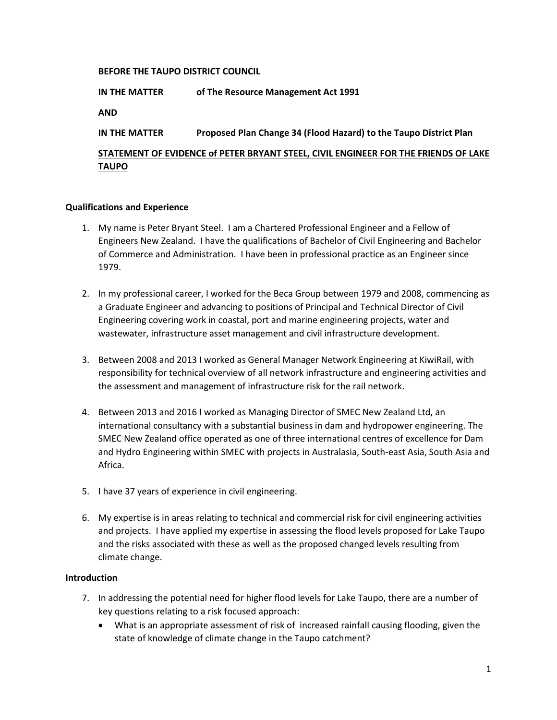## **BEFORE THE TAUPO DISTRICT COUNCIL**

**IN THE MATTER of The Resource Management Act 1991**

**AND**

**IN THE MATTER Proposed Plan Change 34 (Flood Hazard) to the Taupo District Plan** 

# **STATEMENT OF EVIDENCE of PETER BRYANT STEEL, CIVIL ENGINEER FOR THE FRIENDS OF LAKE TAUPO**

## **Qualifications and Experience**

- 1. My name is Peter Bryant Steel. I am a Chartered Professional Engineer and a Fellow of Engineers New Zealand. I have the qualifications of Bachelor of Civil Engineering and Bachelor of Commerce and Administration. I have been in professional practice as an Engineer since 1979.
- 2. In my professional career, I worked for the Beca Group between 1979 and 2008, commencing as a Graduate Engineer and advancing to positions of Principal and Technical Director of Civil Engineering covering work in coastal, port and marine engineering projects, water and wastewater, infrastructure asset management and civil infrastructure development.
- 3. Between 2008 and 2013 I worked as General Manager Network Engineering at KiwiRail, with responsibility for technical overview of all network infrastructure and engineering activities and the assessment and management of infrastructure risk for the rail network.
- 4. Between 2013 and 2016 I worked as Managing Director of SMEC New Zealand Ltd, an international consultancy with a substantial business in dam and hydropower engineering. The SMEC New Zealand office operated as one of three international centres of excellence for Dam and Hydro Engineering within SMEC with projects in Australasia, South-east Asia, South Asia and Africa.
- 5. I have 37 years of experience in civil engineering.
- 6. My expertise is in areas relating to technical and commercial risk for civil engineering activities and projects. I have applied my expertise in assessing the flood levels proposed for Lake Taupo and the risks associated with these as well as the proposed changed levels resulting from climate change.

## **Introduction**

- 7. In addressing the potential need for higher flood levels for Lake Taupo, there are a number of key questions relating to a risk focused approach:
	- What is an appropriate assessment of risk of increased rainfall causing flooding, given the state of knowledge of climate change in the Taupo catchment?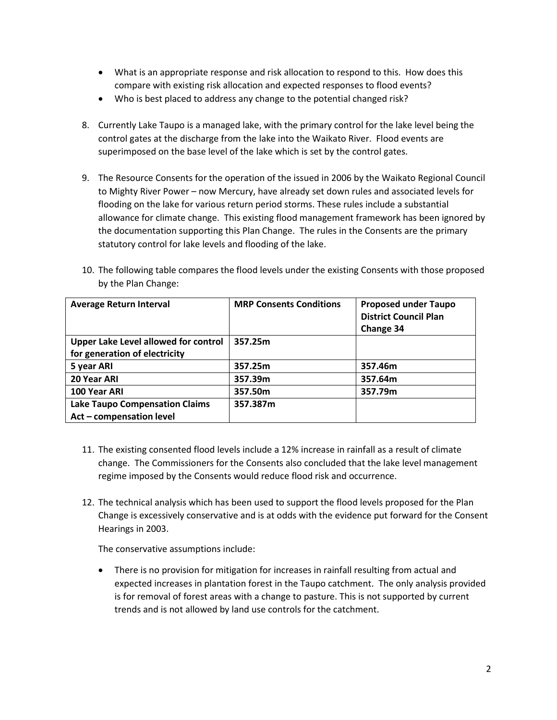- What is an appropriate response and risk allocation to respond to this. How does this compare with existing risk allocation and expected responses to flood events?
- Who is best placed to address any change to the potential changed risk?
- 8. Currently Lake Taupo is a managed lake, with the primary control for the lake level being the control gates at the discharge from the lake into the Waikato River. Flood events are superimposed on the base level of the lake which is set by the control gates.
- 9. The Resource Consents for the operation of the issued in 2006 by the Waikato Regional Council to Mighty River Power – now Mercury, have already set down rules and associated levels for flooding on the lake for various return period storms. These rules include a substantial allowance for climate change. This existing flood management framework has been ignored by the documentation supporting this Plan Change. The rules in the Consents are the primary statutory control for lake levels and flooding of the lake.
- 10. The following table compares the flood levels under the existing Consents with those proposed by the Plan Change:

| <b>Average Return Interval</b>              | <b>MRP Consents Conditions</b> | <b>Proposed under Taupo</b><br><b>District Council Plan</b><br>Change 34 |
|---------------------------------------------|--------------------------------|--------------------------------------------------------------------------|
| <b>Upper Lake Level allowed for control</b> | 357.25m                        |                                                                          |
| for generation of electricity               |                                |                                                                          |
| 5 year ARI                                  | 357.25m                        | 357.46m                                                                  |
| 20 Year ARI                                 | 357.39m                        | 357.64m                                                                  |
| 100 Year ARI                                | 357.50m                        | 357.79m                                                                  |
| <b>Lake Taupo Compensation Claims</b>       | 357.387m                       |                                                                          |
| Act - compensation level                    |                                |                                                                          |

- 11. The existing consented flood levels include a 12% increase in rainfall as a result of climate change. The Commissioners for the Consents also concluded that the lake level management regime imposed by the Consents would reduce flood risk and occurrence.
- 12. The technical analysis which has been used to support the flood levels proposed for the Plan Change is excessively conservative and is at odds with the evidence put forward for the Consent Hearings in 2003.

The conservative assumptions include:

 There is no provision for mitigation for increases in rainfall resulting from actual and expected increases in plantation forest in the Taupo catchment. The only analysis provided is for removal of forest areas with a change to pasture. This is not supported by current trends and is not allowed by land use controls for the catchment.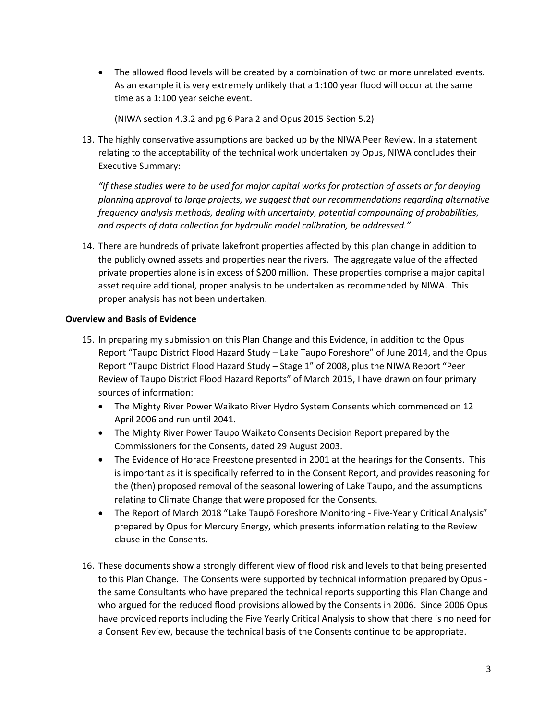The allowed flood levels will be created by a combination of two or more unrelated events. As an example it is very extremely unlikely that a 1:100 year flood will occur at the same time as a 1:100 year seiche event.

(NIWA section 4.3.2 and pg 6 Para 2 and Opus 2015 Section 5.2)

13. The highly conservative assumptions are backed up by the NIWA Peer Review. In a statement relating to the acceptability of the technical work undertaken by Opus, NIWA concludes their Executive Summary:

*"If these studies were to be used for major capital works for protection of assets or for denying planning approval to large projects, we suggest that our recommendations regarding alternative frequency analysis methods, dealing with uncertainty, potential compounding of probabilities, and aspects of data collection for hydraulic model calibration, be addressed."*

14. There are hundreds of private lakefront properties affected by this plan change in addition to the publicly owned assets and properties near the rivers. The aggregate value of the affected private properties alone is in excess of \$200 million. These properties comprise a major capital asset require additional, proper analysis to be undertaken as recommended by NIWA. This proper analysis has not been undertaken.

## **Overview and Basis of Evidence**

- 15. In preparing my submission on this Plan Change and this Evidence, in addition to the Opus Report "Taupo District Flood Hazard Study – Lake Taupo Foreshore" of June 2014, and the Opus Report "Taupo District Flood Hazard Study – Stage 1" of 2008, plus the NIWA Report "Peer Review of Taupo District Flood Hazard Reports" of March 2015, I have drawn on four primary sources of information:
	- The Mighty River Power Waikato River Hydro System Consents which commenced on 12 April 2006 and run until 2041.
	- The Mighty River Power Taupo Waikato Consents Decision Report prepared by the Commissioners for the Consents, dated 29 August 2003.
	- The Evidence of Horace Freestone presented in 2001 at the hearings for the Consents. This is important as it is specifically referred to in the Consent Report, and provides reasoning for the (then) proposed removal of the seasonal lowering of Lake Taupo, and the assumptions relating to Climate Change that were proposed for the Consents.
	- The Report of March 2018 "Lake Taupō Foreshore Monitoring Five-Yearly Critical Analysis" prepared by Opus for Mercury Energy, which presents information relating to the Review clause in the Consents.
- 16. These documents show a strongly different view of flood risk and levels to that being presented to this Plan Change. The Consents were supported by technical information prepared by Opus the same Consultants who have prepared the technical reports supporting this Plan Change and who argued for the reduced flood provisions allowed by the Consents in 2006. Since 2006 Opus have provided reports including the Five Yearly Critical Analysis to show that there is no need for a Consent Review, because the technical basis of the Consents continue to be appropriate.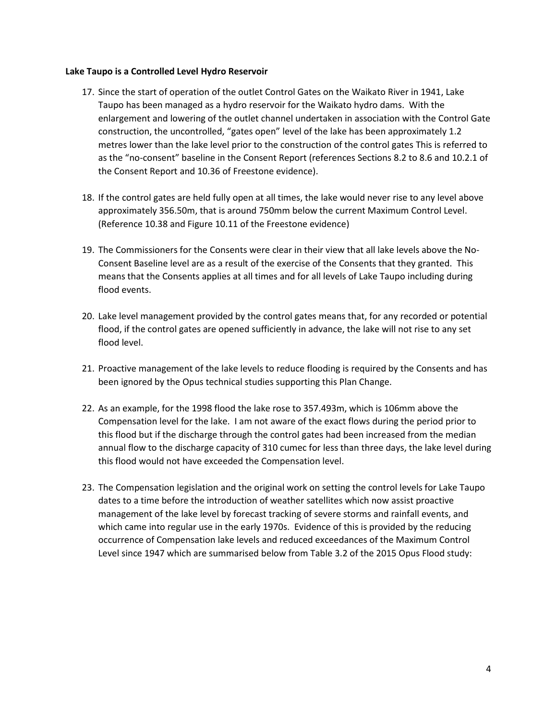#### **Lake Taupo is a Controlled Level Hydro Reservoir**

- 17. Since the start of operation of the outlet Control Gates on the Waikato River in 1941, Lake Taupo has been managed as a hydro reservoir for the Waikato hydro dams. With the enlargement and lowering of the outlet channel undertaken in association with the Control Gate construction, the uncontrolled, "gates open" level of the lake has been approximately 1.2 metres lower than the lake level prior to the construction of the control gates This is referred to as the "no-consent" baseline in the Consent Report (references Sections 8.2 to 8.6 and 10.2.1 of the Consent Report and 10.36 of Freestone evidence).
- 18. If the control gates are held fully open at all times, the lake would never rise to any level above approximately 356.50m, that is around 750mm below the current Maximum Control Level. (Reference 10.38 and Figure 10.11 of the Freestone evidence)
- 19. The Commissioners for the Consents were clear in their view that all lake levels above the No-Consent Baseline level are as a result of the exercise of the Consents that they granted. This means that the Consents applies at all times and for all levels of Lake Taupo including during flood events.
- 20. Lake level management provided by the control gates means that, for any recorded or potential flood, if the control gates are opened sufficiently in advance, the lake will not rise to any set flood level.
- 21. Proactive management of the lake levels to reduce flooding is required by the Consents and has been ignored by the Opus technical studies supporting this Plan Change.
- 22. As an example, for the 1998 flood the lake rose to 357.493m, which is 106mm above the Compensation level for the lake. I am not aware of the exact flows during the period prior to this flood but if the discharge through the control gates had been increased from the median annual flow to the discharge capacity of 310 cumec for less than three days, the lake level during this flood would not have exceeded the Compensation level.
- 23. The Compensation legislation and the original work on setting the control levels for Lake Taupo dates to a time before the introduction of weather satellites which now assist proactive management of the lake level by forecast tracking of severe storms and rainfall events, and which came into regular use in the early 1970s. Evidence of this is provided by the reducing occurrence of Compensation lake levels and reduced exceedances of the Maximum Control Level since 1947 which are summarised below from Table 3.2 of the 2015 Opus Flood study: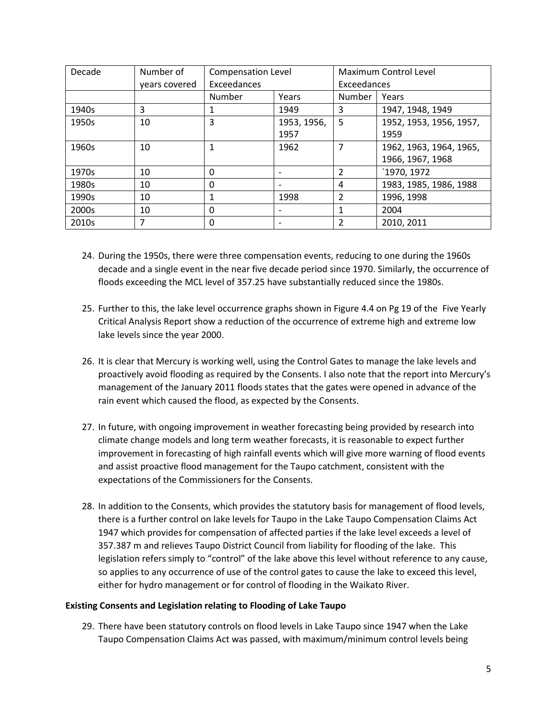| Decade | Number of     | <b>Compensation Level</b> |             | Maximum Control Level |                         |
|--------|---------------|---------------------------|-------------|-----------------------|-------------------------|
|        | years covered | Exceedances               |             | Exceedances           |                         |
|        |               | Number                    | Years       | <b>Number</b>         | Years                   |
| 1940s  | 3             |                           | 1949        | 3                     | 1947, 1948, 1949        |
| 1950s  | 10            | 3                         | 1953, 1956, | 5                     | 1952, 1953, 1956, 1957, |
|        |               |                           | 1957        |                       | 1959                    |
| 1960s  | 10            |                           | 1962        | 7                     | 1962, 1963, 1964, 1965, |
|        |               |                           |             |                       | 1966, 1967, 1968        |
| 1970s  | 10            | $\Omega$                  |             | $\overline{2}$        | `1970, 1972             |
| 1980s  | 10            | $\Omega$                  |             | 4                     | 1983, 1985, 1986, 1988  |
| 1990s  | 10            | 1                         | 1998        | $\overline{2}$        | 1996, 1998              |
| 2000s  | 10            | $\Omega$                  |             | 1                     | 2004                    |
| 2010s  |               | 0                         |             | $\overline{2}$        | 2010, 2011              |

- 24. During the 1950s, there were three compensation events, reducing to one during the 1960s decade and a single event in the near five decade period since 1970. Similarly, the occurrence of floods exceeding the MCL level of 357.25 have substantially reduced since the 1980s.
- 25. Further to this, the lake level occurrence graphs shown in Figure 4.4 on Pg 19 of the Five Yearly Critical Analysis Report show a reduction of the occurrence of extreme high and extreme low lake levels since the year 2000.
- 26. It is clear that Mercury is working well, using the Control Gates to manage the lake levels and proactively avoid flooding as required by the Consents. I also note that the report into Mercury's management of the January 2011 floods states that the gates were opened in advance of the rain event which caused the flood, as expected by the Consents.
- 27. In future, with ongoing improvement in weather forecasting being provided by research into climate change models and long term weather forecasts, it is reasonable to expect further improvement in forecasting of high rainfall events which will give more warning of flood events and assist proactive flood management for the Taupo catchment, consistent with the expectations of the Commissioners for the Consents.
- 28. In addition to the Consents, which provides the statutory basis for management of flood levels, there is a further control on lake levels for Taupo in the Lake Taupo Compensation Claims Act 1947 which provides for compensation of affected parties if the lake level exceeds a level of 357.387 m and relieves Taupo District Council from liability for flooding of the lake. This legislation refers simply to "control" of the lake above this level without reference to any cause, so applies to any occurrence of use of the control gates to cause the lake to exceed this level, either for hydro management or for control of flooding in the Waikato River.

## **Existing Consents and Legislation relating to Flooding of Lake Taupo**

29. There have been statutory controls on flood levels in Lake Taupo since 1947 when the Lake Taupo Compensation Claims Act was passed, with maximum/minimum control levels being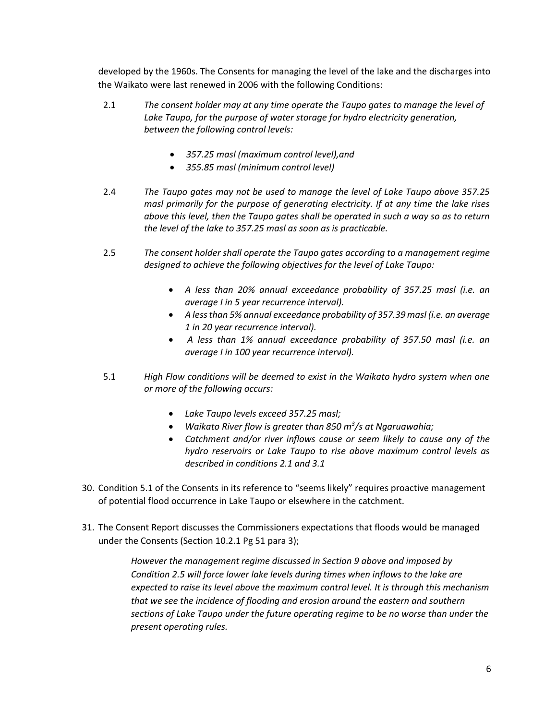developed by the 1960s. The Consents for managing the level of the lake and the discharges into the Waikato were last renewed in 2006 with the following Conditions:

- 2.1 *The consent holder may at any time operate the Taupo gates to manage the level of Lake Taupo, for the purpose of water storage for hydro electricity generation, between the following control levels:*
	- *357.25 masl (maximum control level),and*
	- *355.85 masl (minimum control level)*
- 2.4 *The Taupo gates may not be used to manage the level of Lake Taupo above 357.25 masl primarily for the purpose of generating electricity. If at any time the lake rises above this level, then the Taupo gates shall be operated in such a way so as to return the level of the lake to 357.25 masl as soon as is practicable.*
- 2.5 *The consent holder shall operate the Taupo gates according to a management regime designed to achieve the following objectives for the level of Lake Taupo:*
	- *A less than 20% annual exceedance probability of 357.25 masl (i.e. an average I in 5 year recurrence interval).*
	- *A less than 5% annual exceedance probability of 357.39 masl (i.e. an average 1 in 20 year recurrence interval).*
	- *A less than 1% annual exceedance probability of 357.50 masl (i.e. an average I in 100 year recurrence interval).*
- 5.1 *High Flow conditions will be deemed to exist in the Waikato hydro system when one or more of the following occurs:* 
	- *Lake Taupo levels exceed 357.25 masl;*
	- *Waikato River flow is greater than 850 m<sup>3</sup> /s at Ngaruawahia;*
	- *Catchment and/or river inflows cause or seem likely to cause any of the hydro reservoirs or Lake Taupo to rise above maximum control levels as described in conditions 2.1 and 3.1*
- 30. Condition 5.1 of the Consents in its reference to "seems likely" requires proactive management of potential flood occurrence in Lake Taupo or elsewhere in the catchment.
- 31. The Consent Report discusses the Commissioners expectations that floods would be managed under the Consents (Section 10.2.1 Pg 51 para 3);

*However the management regime discussed in Section 9 above and imposed by Condition 2.5 will force lower lake levels during times when inflows to the lake are expected to raise its level above the maximum control level. It is through this mechanism that we see the incidence of flooding and erosion around the eastern and southern sections of Lake Taupo under the future operating regime to be no worse than under the present operating rules.*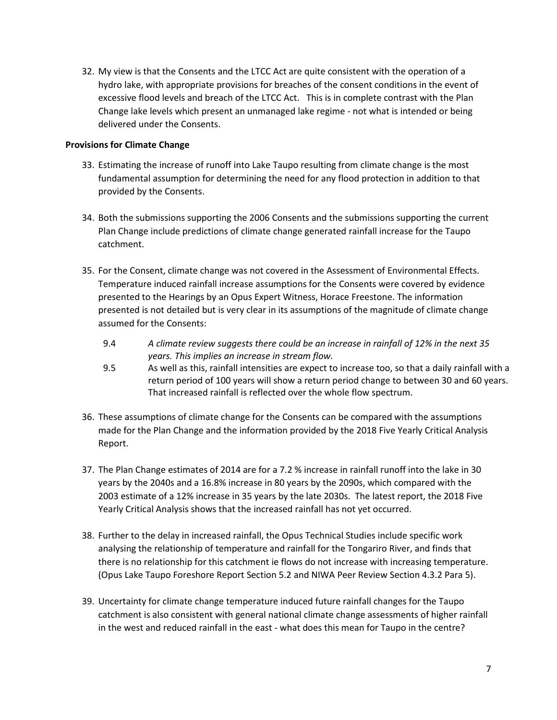32. My view is that the Consents and the LTCC Act are quite consistent with the operation of a hydro lake, with appropriate provisions for breaches of the consent conditions in the event of excessive flood levels and breach of the LTCC Act. This is in complete contrast with the Plan Change lake levels which present an unmanaged lake regime - not what is intended or being delivered under the Consents.

## **Provisions for Climate Change**

- 33. Estimating the increase of runoff into Lake Taupo resulting from climate change is the most fundamental assumption for determining the need for any flood protection in addition to that provided by the Consents.
- 34. Both the submissions supporting the 2006 Consents and the submissions supporting the current Plan Change include predictions of climate change generated rainfall increase for the Taupo catchment.
- 35. For the Consent, climate change was not covered in the Assessment of Environmental Effects. Temperature induced rainfall increase assumptions for the Consents were covered by evidence presented to the Hearings by an Opus Expert Witness, Horace Freestone. The information presented is not detailed but is very clear in its assumptions of the magnitude of climate change assumed for the Consents:
	- 9.4 *A climate review suggests there could be an increase in rainfall of 12% in the next 35 years. This implies an increase in stream flow.*
	- 9.5 As well as this, rainfall intensities are expect to increase too, so that a daily rainfall with a return period of 100 years will show a return period change to between 30 and 60 years. That increased rainfall is reflected over the whole flow spectrum.
- 36. These assumptions of climate change for the Consents can be compared with the assumptions made for the Plan Change and the information provided by the 2018 Five Yearly Critical Analysis Report.
- 37. The Plan Change estimates of 2014 are for a 7.2 % increase in rainfall runoff into the lake in 30 years by the 2040s and a 16.8% increase in 80 years by the 2090s, which compared with the 2003 estimate of a 12% increase in 35 years by the late 2030s. The latest report, the 2018 Five Yearly Critical Analysis shows that the increased rainfall has not yet occurred.
- 38. Further to the delay in increased rainfall, the Opus Technical Studies include specific work analysing the relationship of temperature and rainfall for the Tongariro River, and finds that there is no relationship for this catchment ie flows do not increase with increasing temperature. (Opus Lake Taupo Foreshore Report Section 5.2 and NIWA Peer Review Section 4.3.2 Para 5).
- 39. Uncertainty for climate change temperature induced future rainfall changes for the Taupo catchment is also consistent with general national climate change assessments of higher rainfall in the west and reduced rainfall in the east - what does this mean for Taupo in the centre?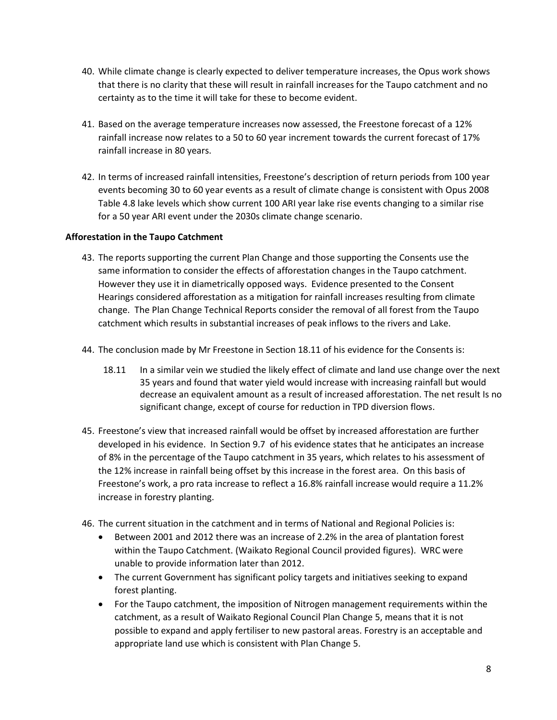- 40. While climate change is clearly expected to deliver temperature increases, the Opus work shows that there is no clarity that these will result in rainfall increases for the Taupo catchment and no certainty as to the time it will take for these to become evident.
- 41. Based on the average temperature increases now assessed, the Freestone forecast of a 12% rainfall increase now relates to a 50 to 60 year increment towards the current forecast of 17% rainfall increase in 80 years.
- 42. In terms of increased rainfall intensities, Freestone's description of return periods from 100 year events becoming 30 to 60 year events as a result of climate change is consistent with Opus 2008 Table 4.8 lake levels which show current 100 ARI year lake rise events changing to a similar rise for a 50 year ARI event under the 2030s climate change scenario.

## **Afforestation in the Taupo Catchment**

- 43. The reports supporting the current Plan Change and those supporting the Consents use the same information to consider the effects of afforestation changes in the Taupo catchment. However they use it in diametrically opposed ways. Evidence presented to the Consent Hearings considered afforestation as a mitigation for rainfall increases resulting from climate change. The Plan Change Technical Reports consider the removal of all forest from the Taupo catchment which results in substantial increases of peak inflows to the rivers and Lake.
- 44. The conclusion made by Mr Freestone in Section 18.11 of his evidence for the Consents is:
	- 18.11 In a similar vein we studied the likely effect of climate and land use change over the next 35 years and found that water yield would increase with increasing rainfall but would decrease an equivalent amount as a result of increased afforestation. The net result Is no significant change, except of course for reduction in TPD diversion flows.
- 45. Freestone's view that increased rainfall would be offset by increased afforestation are further developed in his evidence. In Section 9.7 of his evidence states that he anticipates an increase of 8% in the percentage of the Taupo catchment in 35 years, which relates to his assessment of the 12% increase in rainfall being offset by this increase in the forest area. On this basis of Freestone's work, a pro rata increase to reflect a 16.8% rainfall increase would require a 11.2% increase in forestry planting.
- 46. The current situation in the catchment and in terms of National and Regional Policies is:
	- Between 2001 and 2012 there was an increase of 2.2% in the area of plantation forest within the Taupo Catchment. (Waikato Regional Council provided figures). WRC were unable to provide information later than 2012.
	- The current Government has significant policy targets and initiatives seeking to expand forest planting.
	- For the Taupo catchment, the imposition of Nitrogen management requirements within the catchment, as a result of Waikato Regional Council Plan Change 5, means that it is not possible to expand and apply fertiliser to new pastoral areas. Forestry is an acceptable and appropriate land use which is consistent with Plan Change 5.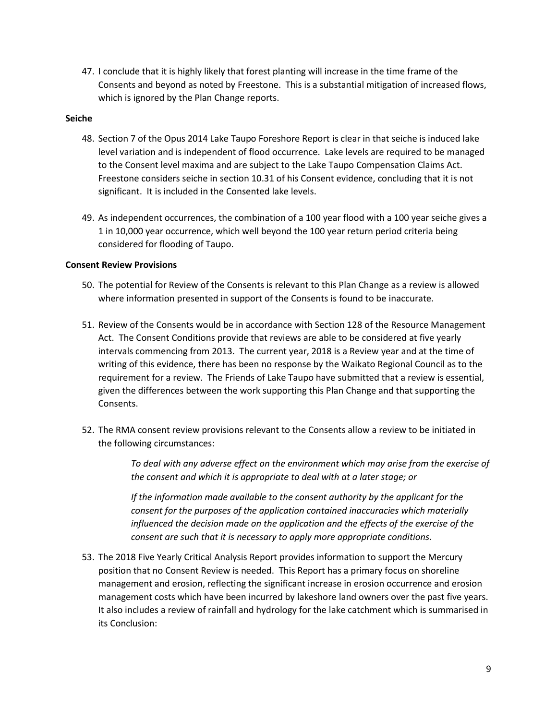47. I conclude that it is highly likely that forest planting will increase in the time frame of the Consents and beyond as noted by Freestone. This is a substantial mitigation of increased flows, which is ignored by the Plan Change reports.

### **Seiche**

- 48. Section 7 of the Opus 2014 Lake Taupo Foreshore Report is clear in that seiche is induced lake level variation and is independent of flood occurrence. Lake levels are required to be managed to the Consent level maxima and are subject to the Lake Taupo Compensation Claims Act. Freestone considers seiche in section 10.31 of his Consent evidence, concluding that it is not significant. It is included in the Consented lake levels.
- 49. As independent occurrences, the combination of a 100 year flood with a 100 year seiche gives a 1 in 10,000 year occurrence, which well beyond the 100 year return period criteria being considered for flooding of Taupo.

### **Consent Review Provisions**

- 50. The potential for Review of the Consents is relevant to this Plan Change as a review is allowed where information presented in support of the Consents is found to be inaccurate.
- 51. Review of the Consents would be in accordance with Section 128 of the Resource Management Act. The Consent Conditions provide that reviews are able to be considered at five yearly intervals commencing from 2013. The current year, 2018 is a Review year and at the time of writing of this evidence, there has been no response by the Waikato Regional Council as to the requirement for a review. The Friends of Lake Taupo have submitted that a review is essential, given the differences between the work supporting this Plan Change and that supporting the Consents.
- 52. The RMA consent review provisions relevant to the Consents allow a review to be initiated in the following circumstances:

*To deal with any adverse effect on the environment which may arise from the exercise of the consent and which it is appropriate to deal with at a later stage; or*

*If the information made available to the consent authority by the applicant for the consent for the purposes of the application contained inaccuracies which materially influenced the decision made on the application and the effects of the exercise of the consent are such that it is necessary to apply more appropriate conditions.*

53. The 2018 Five Yearly Critical Analysis Report provides information to support the Mercury position that no Consent Review is needed. This Report has a primary focus on shoreline management and erosion, reflecting the significant increase in erosion occurrence and erosion management costs which have been incurred by lakeshore land owners over the past five years. It also includes a review of rainfall and hydrology for the lake catchment which is summarised in its Conclusion: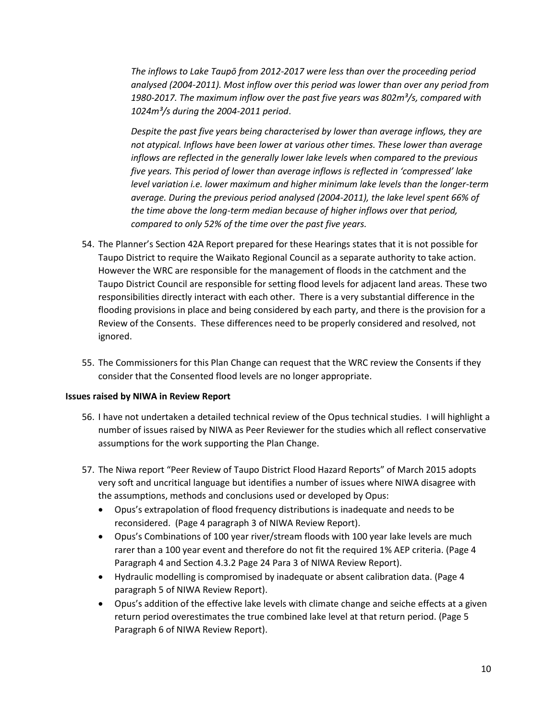*The inflows to Lake Taupō from 2012-2017 were less than over the proceeding period analysed (2004-2011). Most inflow over this period was lower than over any period from 1980-2017. The maximum inflow over the past five years was 802m³/s, compared with 1024m³/s during the 2004-2011 period*.

*Despite the past five years being characterised by lower than average inflows, they are not atypical. Inflows have been lower at various other times. These lower than average inflows are reflected in the generally lower lake levels when compared to the previous five years. This period of lower than average inflows is reflected in 'compressed' lake level variation i.e. lower maximum and higher minimum lake levels than the longer-term average. During the previous period analysed (2004-2011), the lake level spent 66% of the time above the long-term median because of higher inflows over that period, compared to only 52% of the time over the past five years.*

- 54. The Planner's Section 42A Report prepared for these Hearings states that it is not possible for Taupo District to require the Waikato Regional Council as a separate authority to take action. However the WRC are responsible for the management of floods in the catchment and the Taupo District Council are responsible for setting flood levels for adjacent land areas. These two responsibilities directly interact with each other. There is a very substantial difference in the flooding provisions in place and being considered by each party, and there is the provision for a Review of the Consents. These differences need to be properly considered and resolved, not ignored.
- 55. The Commissioners for this Plan Change can request that the WRC review the Consents if they consider that the Consented flood levels are no longer appropriate.

#### **Issues raised by NIWA in Review Report**

- 56. I have not undertaken a detailed technical review of the Opus technical studies. I will highlight a number of issues raised by NIWA as Peer Reviewer for the studies which all reflect conservative assumptions for the work supporting the Plan Change.
- 57. The Niwa report "Peer Review of Taupo District Flood Hazard Reports" of March 2015 adopts very soft and uncritical language but identifies a number of issues where NIWA disagree with the assumptions, methods and conclusions used or developed by Opus:
	- Opus's extrapolation of flood frequency distributions is inadequate and needs to be reconsidered. (Page 4 paragraph 3 of NIWA Review Report).
	- Opus's Combinations of 100 year river/stream floods with 100 year lake levels are much rarer than a 100 year event and therefore do not fit the required 1% AEP criteria. (Page 4 Paragraph 4 and Section 4.3.2 Page 24 Para 3 of NIWA Review Report).
	- Hydraulic modelling is compromised by inadequate or absent calibration data. (Page 4 paragraph 5 of NIWA Review Report).
	- Opus's addition of the effective lake levels with climate change and seiche effects at a given return period overestimates the true combined lake level at that return period. (Page 5 Paragraph 6 of NIWA Review Report).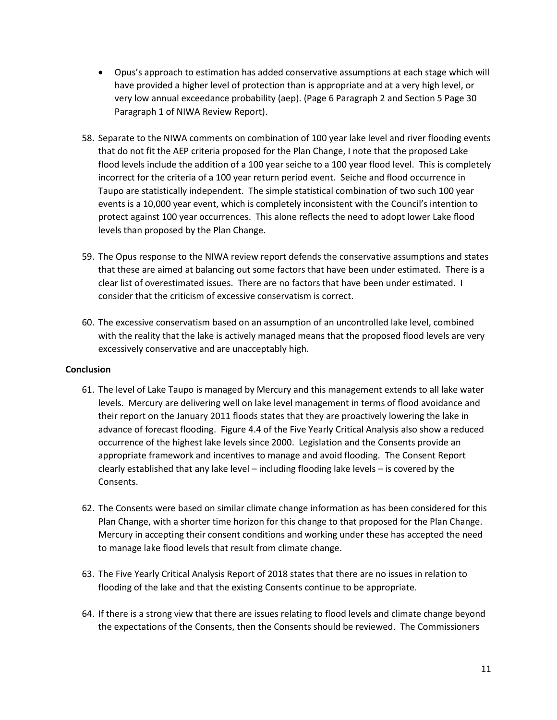- Opus's approach to estimation has added conservative assumptions at each stage which will have provided a higher level of protection than is appropriate and at a very high level, or very low annual exceedance probability (aep). (Page 6 Paragraph 2 and Section 5 Page 30 Paragraph 1 of NIWA Review Report).
- 58. Separate to the NIWA comments on combination of 100 year lake level and river flooding events that do not fit the AEP criteria proposed for the Plan Change, I note that the proposed Lake flood levels include the addition of a 100 year seiche to a 100 year flood level. This is completely incorrect for the criteria of a 100 year return period event. Seiche and flood occurrence in Taupo are statistically independent. The simple statistical combination of two such 100 year events is a 10,000 year event, which is completely inconsistent with the Council's intention to protect against 100 year occurrences. This alone reflects the need to adopt lower Lake flood levels than proposed by the Plan Change.
- 59. The Opus response to the NIWA review report defends the conservative assumptions and states that these are aimed at balancing out some factors that have been under estimated. There is a clear list of overestimated issues. There are no factors that have been under estimated. I consider that the criticism of excessive conservatism is correct.
- 60. The excessive conservatism based on an assumption of an uncontrolled lake level, combined with the reality that the lake is actively managed means that the proposed flood levels are very excessively conservative and are unacceptably high.

## **Conclusion**

- 61. The level of Lake Taupo is managed by Mercury and this management extends to all lake water levels. Mercury are delivering well on lake level management in terms of flood avoidance and their report on the January 2011 floods states that they are proactively lowering the lake in advance of forecast flooding. Figure 4.4 of the Five Yearly Critical Analysis also show a reduced occurrence of the highest lake levels since 2000. Legislation and the Consents provide an appropriate framework and incentives to manage and avoid flooding. The Consent Report clearly established that any lake level – including flooding lake levels – is covered by the Consents.
- 62. The Consents were based on similar climate change information as has been considered for this Plan Change, with a shorter time horizon for this change to that proposed for the Plan Change. Mercury in accepting their consent conditions and working under these has accepted the need to manage lake flood levels that result from climate change.
- 63. The Five Yearly Critical Analysis Report of 2018 states that there are no issues in relation to flooding of the lake and that the existing Consents continue to be appropriate.
- 64. If there is a strong view that there are issues relating to flood levels and climate change beyond the expectations of the Consents, then the Consents should be reviewed. The Commissioners